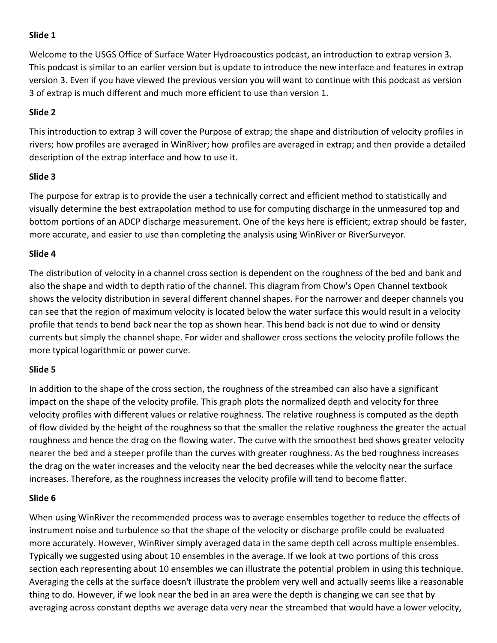## Slide 1

Welcome to the USGS Office of Surface Water Hydroacoustics podcast, an introduction to extrap version 3. This podcast is similar to an earlier version but is update to introduce the new interface and features in extrap version 3. Even if you have viewed the previous version you will want to continue with this podcast as version 3 of extrap is much different and much more efficient to use than version 1.

# Slide 2

This introduction to extrap 3 will cover the Purpose of extrap; the shape and distribution of velocity profiles in rivers; how profiles are averaged in WinRiver; how profiles are averaged in extrap; and then provide a detailed description of the extrap interface and how to use it.

# Slide 3

The purpose for extrap is to provide the user a technically correct and efficient method to statistically and visually determine the best extrapolation method to use for computing discharge in the unmeasured top and bottom portions of an ADCP discharge measurement. One of the keys here is efficient; extrap should be faster, more accurate, and easier to use than completing the analysis using WinRiver or RiverSurveyor.

# Slide 4

The distribution of velocity in a channel cross section is dependent on the roughness of the bed and bank and also the shape and width to depth ratio of the channel. This diagram from Chow's Open Channel textbook shows the velocity distribution in several different channel shapes. For the narrower and deeper channels you can see that the region of maximum velocity is located below the water surface this would result in a velocity profile that tends to bend back near the top as shown hear. This bend back is not due to wind or density currents but simply the channel shape. For wider and shallower cross sections the velocity profile follows the more typical logarithmic or power curve.

# Slide 5

In addition to the shape of the cross section, the roughness of the streambed can also have a significant impact on the shape of the velocity profile. This graph plots the normalized depth and velocity for three velocity profiles with different values or relative roughness. The relative roughness is computed as the depth of flow divided by the height of the roughness so that the smaller the relative roughness the greater the actual roughness and hence the drag on the flowing water. The curve with the smoothest bed shows greater velocity nearer the bed and a steeper profile than the curves with greater roughness. As the bed roughness increases the drag on the water increases and the velocity near the bed decreases while the velocity near the surface increases. Therefore, as the roughness increases the velocity profile will tend to become flatter.

# Slide 6

When using WinRiver the recommended process was to average ensembles together to reduce the effects of instrument noise and turbulence so that the shape of the velocity or discharge profile could be evaluated more accurately. However, WinRiver simply averaged data in the same depth cell across multiple ensembles. Typically we suggested using about 10 ensembles in the average. If we look at two portions of this cross section each representing about 10 ensembles we can illustrate the potential problem in using this technique. Averaging the cells at the surface doesn't illustrate the problem very well and actually seems like a reasonable thing to do. However, if we look near the bed in an area were the depth is changing we can see that by averaging across constant depths we average data very near the streambed that would have a lower velocity,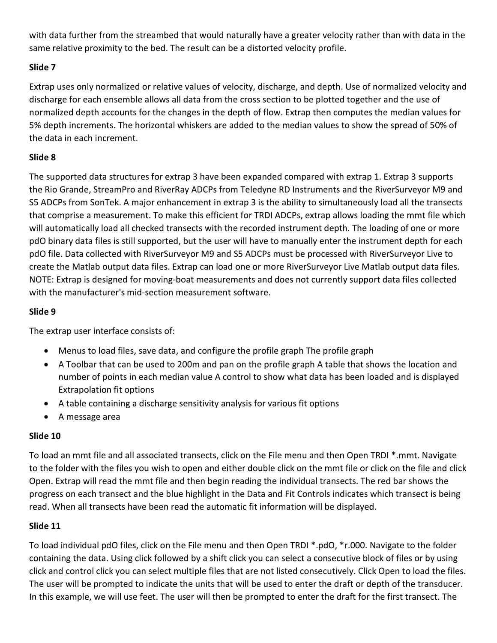with data further from the streambed that would naturally have a greater velocity rather than with data in the same relative proximity to the bed. The result can be a distorted velocity profile.

# Slide 7

Extrap uses only normalized or relative values of velocity, discharge, and depth. Use of normalized velocity and discharge for each ensemble allows all data from the cross section to be plotted together and the use of normalized depth accounts for the changes in the depth of flow. Extrap then computes the median values for 5% depth increments. The horizontal whiskers are added to the median values to show the spread of 50% of the data in each increment.

## Slide 8

The supported data structures for extrap 3 have been expanded compared with extrap 1. Extrap 3 supports the Rio Grande, StreamPro and RiverRay ADCPs from Teledyne RD Instruments and the RiverSurveyor M9 and S5 ADCPs from SonTek. A major enhancement in extrap 3 is the ability to simultaneously load all the transects that comprise a measurement. To make this efficient for TRDI ADCPs, extrap allows loading the mmt file which will automatically load all checked transects with the recorded instrument depth. The loading of one or more pdO binary data files is still supported, but the user will have to manually enter the instrument depth for each pdO file. Data collected with RiverSurveyor M9 and S5 ADCPs must be processed with RiverSurveyor Live to create the Matlab output data files. Extrap can load one or more RiverSurveyor Live Matlab output data files. NOTE: Extrap is designed for moving-boat measurements and does not currently support data files collected with the manufacturer's mid-section measurement software.

## Slide 9

The extrap user interface consists of:

- Menus to load files, save data, and configure the profile graph The profile graph
- A Toolbar that can be used to 200m and pan on the profile graph A table that shows the location and number of points in each median value A control to show what data has been loaded and is displayed Extrapolation fit options
- A table containing a discharge sensitivity analysis for various fit options
- A message area

## Slide 10

To load an mmt file and all associated transects, click on the File menu and then Open TRDI \*.mmt. Navigate to the folder with the files you wish to open and either double click on the mmt file or click on the file and click Open. Extrap will read the mmt file and then begin reading the individual transects. The red bar shows the progress on each transect and the blue highlight in the Data and Fit Controls indicates which transect is being read. When all transects have been read the automatic fit information will be displayed.

## Slide 11

To load individual pdO files, click on the File menu and then Open TRDI \*.pdO, \*r.000. Navigate to the folder containing the data. Using click followed by a shift click you can select a consecutive block of files or by using click and control click you can select multiple files that are not listed consecutively. Click Open to load the files. The user will be prompted to indicate the units that will be used to enter the draft or depth of the transducer. In this example, we will use feet. The user will then be prompted to enter the draft for the first transect. The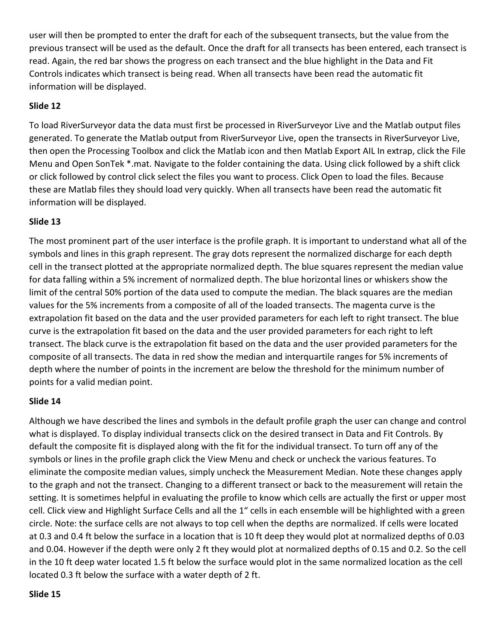user will then be prompted to enter the draft for each of the subsequent transects, but the value from the previous transect will be used as the default. Once the draft for all transects has been entered, each transect is read. Again, the red bar shows the progress on each transect and the blue highlight in the Data and Fit Controls indicates which transect is being read. When all transects have been read the automatic fit information will be displayed.

## Slide 12

To load RiverSurveyor data the data must first be processed in RiverSurveyor Live and the Matlab output files generated. To generate the Matlab output from RiverSurveyor Live, open the transects in RiverSurveyor Live, then open the Processing Toolbox and click the Matlab icon and then Matlab Export AIL In extrap, click the File Menu and Open SonTek \*.mat. Navigate to the folder containing the data. Using click followed by a shift click or click followed by control click select the files you want to process. Click Open to load the files. Because these are Matlab files they should load very quickly. When all transects have been read the automatic fit information will be displayed.

## Slide 13

The most prominent part of the user interface is the profile graph. It is important to understand what all of the symbols and lines in this graph represent. The gray dots represent the normalized discharge for each depth cell in the transect plotted at the appropriate normalized depth. The blue squares represent the median value for data falling within a 5% increment of normalized depth. The blue horizontal lines or whiskers show the limit of the central 50% portion of the data used to compute the median. The black squares are the median values for the 5% increments from a composite of all of the loaded transects. The magenta curve is the extrapolation fit based on the data and the user provided parameters for each left to right transect. The blue curve is the extrapolation fit based on the data and the user provided parameters for each right to left transect. The black curve is the extrapolation fit based on the data and the user provided parameters for the composite of all transects. The data in red show the median and interquartile ranges for 5% increments of depth where the number of points in the increment are below the threshold for the minimum number of points for a valid median point.

## Slide 14

Although we have described the lines and symbols in the default profile graph the user can change and control what is displayed. To display individual transects click on the desired transect in Data and Fit Controls. By default the composite fit is displayed along with the fit for the individual transect. To turn off any of the symbols or lines in the profile graph click the View Menu and check or uncheck the various features. To eliminate the composite median values, simply uncheck the Measurement Median. Note these changes apply to the graph and not the transect. Changing to a different transect or back to the measurement will retain the setting. It is sometimes helpful in evaluating the profile to know which cells are actually the first or upper most cell. Click view and Highlight Surface Cells and all the 1" cells in each ensemble will be highlighted with a green circle. Note: the surface cells are not always to top cell when the depths are normalized. If cells were located at 0.3 and 0.4 ft below the surface in a location that is 10 ft deep they would plot at normalized depths of 0.03 and 0.04. However if the depth were only 2 ft they would plot at normalized depths of 0.15 and 0.2. So the cell in the 10 ft deep water located 1.5 ft below the surface would plot in the same normalized location as the cell located 0.3 ft below the surface with a water depth of 2 ft.

#### Slide 15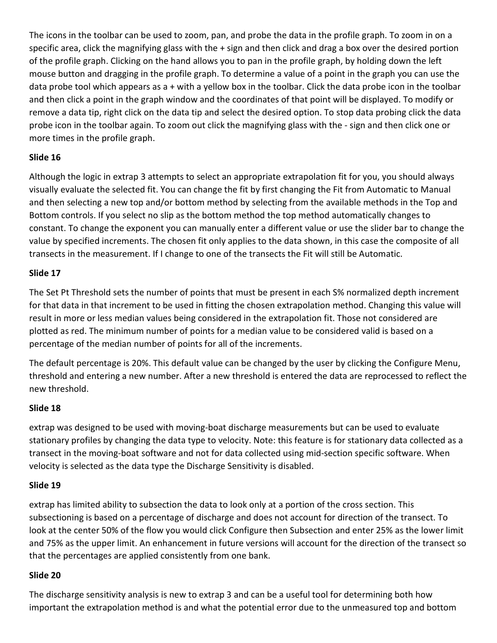The icons in the toolbar can be used to zoom, pan, and probe the data in the profile graph. To zoom in on a specific area, click the magnifying glass with the + sign and then click and drag a box over the desired portion of the profile graph. Clicking on the hand allows you to pan in the profile graph, by holding down the left mouse button and dragging in the profile graph. To determine a value of a point in the graph you can use the data probe tool which appears as a + with a yellow box in the toolbar. Click the data probe icon in the toolbar and then click a point in the graph window and the coordinates of that point will be displayed. To modify or remove a data tip, right click on the data tip and select the desired option. To stop data probing click the data probe icon in the toolbar again. To zoom out click the magnifying glass with the - sign and then click one or more times in the profile graph.

## Slide 16

Although the logic in extrap 3 attempts to select an appropriate extrapolation fit for you, you should always visually evaluate the selected fit. You can change the fit by first changing the Fit from Automatic to Manual and then selecting a new top and/or bottom method by selecting from the available methods in the Top and Bottom controls. If you select no slip as the bottom method the top method automatically changes to constant. To change the exponent you can manually enter a different value or use the slider bar to change the value by specified increments. The chosen fit only applies to the data shown, in this case the composite of all transects in the measurement. If I change to one of the transects the Fit will still be Automatic.

## Slide 17

The Set Pt Threshold sets the number of points that must be present in each S% normalized depth increment for that data in that increment to be used in fitting the chosen extrapolation method. Changing this value will result in more or less median values being considered in the extrapolation fit. Those not considered are plotted as red. The minimum number of points for a median value to be considered valid is based on a percentage of the median number of points for all of the increments.

The default percentage is 20%. This default value can be changed by the user by clicking the Configure Menu, threshold and entering a new number. After a new threshold is entered the data are reprocessed to reflect the new threshold.

## Slide 18

extrap was designed to be used with moving-boat discharge measurements but can be used to evaluate stationary profiles by changing the data type to velocity. Note: this feature is for stationary data collected as a transect in the moving-boat software and not for data collected using mid-section specific software. When velocity is selected as the data type the Discharge Sensitivity is disabled.

## Slide 19

extrap has limited ability to subsection the data to look only at a portion of the cross section. This subsectioning is based on a percentage of discharge and does not account for direction of the transect. To look at the center 50% of the flow you would click Configure then Subsection and enter 25% as the lower limit and 75% as the upper limit. An enhancement in future versions will account for the direction of the transect so that the percentages are applied consistently from one bank.

## Slide 20

The discharge sensitivity analysis is new to extrap 3 and can be a useful tool for determining both how important the extrapolation method is and what the potential error due to the unmeasured top and bottom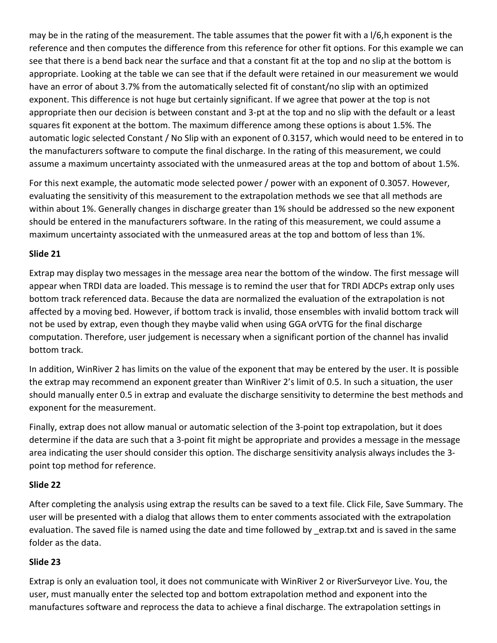may be in the rating of the measurement. The table assumes that the power fit with a l/6,h exponent is the reference and then computes the difference from this reference for other fit options. For this example we can see that there is a bend back near the surface and that a constant fit at the top and no slip at the bottom is appropriate. Looking at the table we can see that if the default were retained in our measurement we would have an error of about 3.7% from the automatically selected fit of constant/no slip with an optimized exponent. This difference is not huge but certainly significant. If we agree that power at the top is not appropriate then our decision is between constant and 3-pt at the top and no slip with the default or a least squares fit exponent at the bottom. The maximum difference among these options is about 1.5%. The automatic logic selected Constant / No Slip with an exponent of 0.3157, which would need to be entered in to the manufacturers software to compute the final discharge. In the rating of this measurement, we could assume a maximum uncertainty associated with the unmeasured areas at the top and bottom of about 1.5%.

For this next example, the automatic mode selected power / power with an exponent of 0.3057. However, evaluating the sensitivity of this measurement to the extrapolation methods we see that all methods are within about 1%. Generally changes in discharge greater than 1% should be addressed so the new exponent should be entered in the manufacturers software. In the rating of this measurement, we could assume a maximum uncertainty associated with the unmeasured areas at the top and bottom of less than 1%.

## Slide 21

Extrap may display two messages in the message area near the bottom of the window. The first message will appear when TRDI data are loaded. This message is to remind the user that for TRDI ADCPs extrap only uses bottom track referenced data. Because the data are normalized the evaluation of the extrapolation is not affected by a moving bed. However, if bottom track is invalid, those ensembles with invalid bottom track will not be used by extrap, even though they maybe valid when using GGA orVTG for the final discharge computation. Therefore, user judgement is necessary when a significant portion of the channel has invalid bottom track.

In addition, WinRiver 2 has limits on the value of the exponent that may be entered by the user. It is possible the extrap may recommend an exponent greater than WinRiver 2's limit of 0.5. In such a situation, the user should manually enter 0.5 in extrap and evaluate the discharge sensitivity to determine the best methods and exponent for the measurement.

Finally, extrap does not allow manual or automatic selection of the 3-point top extrapolation, but it does determine if the data are such that a 3-point fit might be appropriate and provides a message in the message area indicating the user should consider this option. The discharge sensitivity analysis always includes the 3 point top method for reference.

## Slide 22

After completing the analysis using extrap the results can be saved to a text file. Click File, Save Summary. The user will be presented with a dialog that allows them to enter comments associated with the extrapolation evaluation. The saved file is named using the date and time followed by \_extrap.txt and is saved in the same folder as the data.

## Slide 23

Extrap is only an evaluation tool, it does not communicate with WinRiver 2 or RiverSurveyor Live. You, the user, must manually enter the selected top and bottom extrapolation method and exponent into the manufactures software and reprocess the data to achieve a final discharge. The extrapolation settings in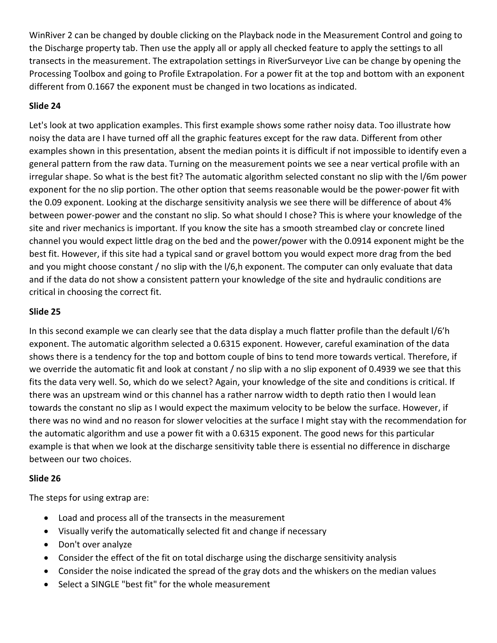WinRiver 2 can be changed by double clicking on the Playback node in the Measurement Control and going to the Discharge property tab. Then use the apply all or apply all checked feature to apply the settings to all transects in the measurement. The extrapolation settings in RiverSurveyor Live can be change by opening the Processing Toolbox and going to Profile Extrapolation. For a power fit at the top and bottom with an exponent different from 0.1667 the exponent must be changed in two locations as indicated.

# Slide 24

Let's look at two application examples. This first example shows some rather noisy data. Too illustrate how noisy the data are I have turned off all the graphic features except for the raw data. Different from other examples shown in this presentation, absent the median points it is difficult if not impossible to identify even a general pattern from the raw data. Turning on the measurement points we see a near vertical profile with an irregular shape. So what is the best fit? The automatic algorithm selected constant no slip with the l/6m power exponent for the no slip portion. The other option that seems reasonable would be the power-power fit with the 0.09 exponent. Looking at the discharge sensitivity analysis we see there will be difference of about 4% between power-power and the constant no slip. So what should I chose? This is where your knowledge of the site and river mechanics is important. If you know the site has a smooth streambed clay or concrete lined channel you would expect little drag on the bed and the power/power with the 0.0914 exponent might be the best fit. However, if this site had a typical sand or gravel bottom you would expect more drag from the bed and you might choose constant / no slip with the I/6,h exponent. The computer can only evaluate that data and if the data do not show a consistent pattern your knowledge of the site and hydraulic conditions are critical in choosing the correct fit.

## Slide 25

In this second example we can clearly see that the data display a much flatter profile than the default l/6'h exponent. The automatic algorithm selected a 0.6315 exponent. However, careful examination of the data shows there is a tendency for the top and bottom couple of bins to tend more towards vertical. Therefore, if we override the automatic fit and look at constant / no slip with a no slip exponent of 0.4939 we see that this fits the data very well. So, which do we select? Again, your knowledge of the site and conditions is critical. If there was an upstream wind or this channel has a rather narrow width to depth ratio then I would lean towards the constant no slip as I would expect the maximum velocity to be below the surface. However, if there was no wind and no reason for slower velocities at the surface I might stay with the recommendation for the automatic algorithm and use a power fit with a 0.6315 exponent. The good news for this particular example is that when we look at the discharge sensitivity table there is essential no difference in discharge between our two choices.

## Slide 26

The steps for using extrap are:

- Load and process all of the transects in the measurement
- Visually verify the automatically selected fit and change if necessary
- Don't over analyze
- Consider the effect of the fit on total discharge using the discharge sensitivity analysis
- Consider the noise indicated the spread of the gray dots and the whiskers on the median values
- Select a SINGLE "best fit" for the whole measurement